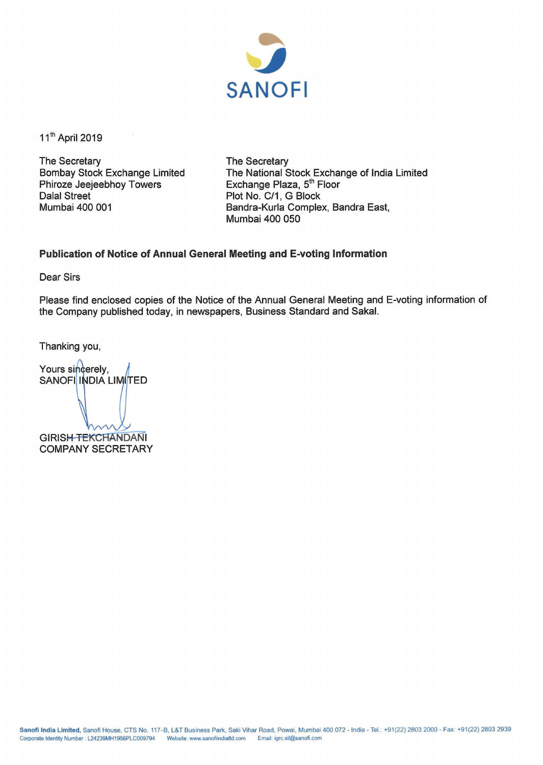

11<sup>th</sup> April 2019

The Secretary Bombay Stock Exchange Limited Phiroze Jeejeebhoy Towers Dalal Street Mumbai 400 001

The Secretary The National Stock Exchange of India Limited Exchange Plaza, 5<sup>th</sup> Floor Plot No. C/1, G Block Bandra-Kurla Complex, Sandra East, Mumbai 400 050

## **Publication of Notice of Annual General Meeting and E-voting Information**

Dear Sirs

Please find enclosed copies of the Notice of the Annual General Meeting and E-voting information of the Company published today, in newspapers, Business Standard and Sakal.

Thanking you,

Yours sincerely, **SANOFI INDIA LIMITED GIRISH-TEKCHANDANI** 

**COMPANY SECRETARY**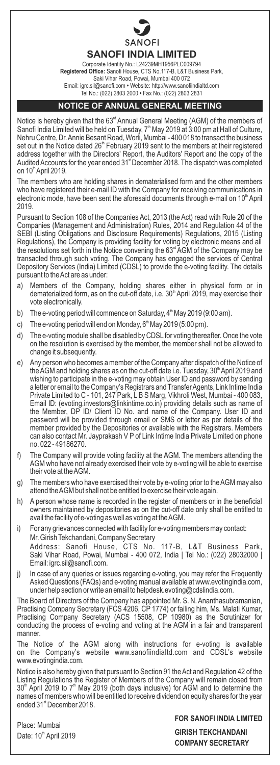

**SANOFI INDIA LIMITED**

Corporate Identity No.: L24239MH1956PLC009794 **Registered Office:** Sanofi House, CTS No.117-B, L&T Business Park, Saki Vihar Road, Powai, Mumbai 400 072 Email: igrc.sil@sanofi.com **•** Website: http://www.sanofiindialtd.com Tel No.: (022) 2803 2000 **•** Fax No.: (022) 2803 2831

## **NOTICE OF ANNUAL GENERAL MEETING**

Notice is hereby given that the 63ª Annual General Meeting (AGM) of the members of<br>Sanofi India Limited will be held on Tuesday, 7ª May 2019 at 3:00 pm at Hall of Culture,<br>Nehru Centre, Dr. Annie Besant Road, Worli, Mumbai set out in the Notice dated 26<sup>th</sup> February 2019 sent to the members at their registered address together with the Directors' Report, the Auditors' Report and the copy of the st Audited Accounts for the year ended 31 December 2018. The dispatch was completed on 10<sup>th</sup> April 2019.

The members who are holding shares in dematerialised form and the other members who have registered their e-mail ID with the Company for receiving communications in electronic mode, have been sent the aforesaid documents through e-mail on  $10<sup>th</sup>$  April 2019.

Pursuant to Section 108 of the Companies Act, 2013 (the Act) read with Rule 20 of the Companies (Management and Administration) Rules, 2014 and Regulation 44 of the SEBI (Listing Obligations and Disclosure Requirements) Regulations, 2015 (Listing Regulations), the Company is providing facility for voting by electronic means and all the resolutions set forth in the Notice convening the 63<sup>d</sup> AGM of the Company may be transacted through such voting. The Company has engaged the services of Central Depository Services (India) Limited (CDSL) to provide the e-voting facility. The details pursuant to the Act are as under:

- a) Members of the Company, holding shares either in physical form or in dematerialized form, as on the cut-off date, i.e. 30<sup>th</sup> April 2019, may exercise their vote electronically.
- b) The e-voting period will commence on Saturday,  $4<sup>th</sup>$  May 2019 (9:00 am).
- c) The e-voting period will end on Monday,  $6<sup>th</sup>$  May 2019 (5:00 pm).
- d) The e-voting module shall be disabled by CDSLfor voting thereafter. Once the vote on the resolution is exercised by the member, the member shall not be allowed to change it subsequently.
- e) Any person who becomes a member of the Company after dispatch of the Notice of the AGM and holding shares as on the cut-off date i.e. Tuesday, 30<sup>th</sup> April 2019 and wishing to participate in the e-voting may obtain User ID and password by sending a letter or email to the Company's Registrars and Transfer Agents, Link Intime India Private Limited to C - 101, 247 Park, L B S Marg, Vikhroli West, Mumbai - 400 083, Email ID: (evoting.investors@linkintime.co.in) providing details such as name of the Member, DP ID/ Client ID No. and name of the Company. User ID and password will be provided through email or SMS or letter as per details of the member provided by the Depositories or available with the Registrars. Members can also contact Mr. Jayprakash V P of Link Intime India Private Limited on phone no. 022 - 49186270.
- f) The Company will provide voting facility at the AGM. The members attending the AGM who have not already exercised their vote by e-voting will be able to exercise their vote at the AGM.
- g) The members who have exercised their vote by e-voting prior to the AGM may also attend the AGM but shall not be entitled to exercise their vote again.
- h) A person whose name is recorded in the register of members or in the beneficial owners maintained by depositories as on the cut-off date only shall be entitled to avail the facility of e-voting as well as voting at the AGM.
- i) For any grievances connected with facility for e-voting members may contact: Mr. Girish Tekchandani, Company Secretary Address: Sanofi House, CTS No. 117-B, L&T Business Park, Saki Vihar Road, Powai, Mumbai - 400 072, India | Tel No.: (022) 28032000 | Email: igrc.sil@sanofi.com.
- j) In case of any queries or issues regarding e-voting, you may refer the Frequently Asked Questions (FAQs) and e-voting manual available at www.evotingindia.com, under help section or write an email to helpdesk.evoting@cdslindia.com.

The Board of Directors of the Company has appointed Mr. S. N. Ananthasubramanian,<br>Practising Company Secretary (FCS 4206, CP 1774) or failing him, Ms. Malati Kumar,<br>Practising Company Secretary (ACS 15508, CP 10980) as the manner.

The Notice of the AGM along with instructions for e-voting is available on the Company's website www.sanofiindialtd.com and CDSL's website www.evotingindia.com.

Notice is also hereby given that pursuant to Section 91 the Act and Regulation 42 of the Listing Regulations the Register of Members of the Company will remain closed from<br>30<sup>n</sup> April 2019 to 7<sup>n</sup> May 2019 (both days inclusive) for AGM and to determine the names of members who will be entitled to receive dividend on equity shares for the year ended 31<sup>st</sup> December 2018.

Place: Mumbai Date: 10<sup>th</sup> April 2019 **FOR SANOFI INDIA LIMITED**

**GIRISH TEKCHANDANI COMPANY SECRETARY**